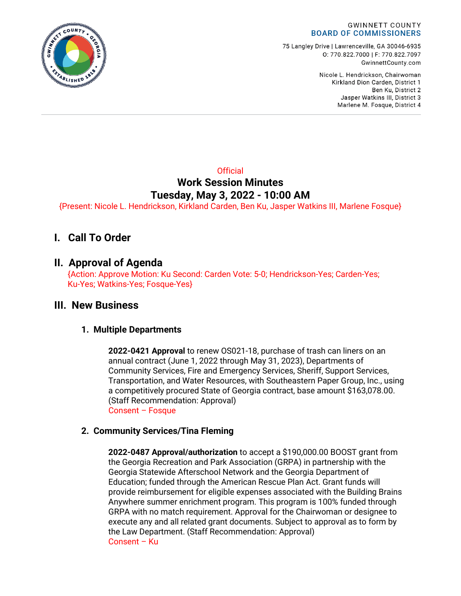

75 Langley Drive | Lawrenceville, GA 30046-6935 0: 770.822.7000 | F: 770.822.7097 GwinnettCounty.com

> Nicole L. Hendrickson, Chairwoman Kirkland Dion Carden, District 1 Ben Ku. District 2 Jasper Watkins III, District 3 Marlene M. Fosque, District 4

## **Official Work Session Minutes Tuesday, May 3, 2022 - 10:00 AM**

{Present: Nicole L. Hendrickson, Kirkland Carden, Ben Ku, Jasper Watkins III, Marlene Fosque}

# **I. Call To Order**

## **II. Approval of Agenda**

{Action: Approve Motion: Ku Second: Carden Vote: 5-0; Hendrickson-Yes; Carden-Yes; Ku-Yes; Watkins-Yes; Fosque-Yes}

## **III. New Business**

### **1. Multiple Departments**

**2022-0421 Approval** to renew OS021-18, purchase of trash can liners on an annual contract (June 1, 2022 through May 31, 2023), Departments of Community Services, Fire and Emergency Services, Sheriff, Support Services, Transportation, and Water Resources, with Southeastern Paper Group, Inc., using a competitively procured State of Georgia contract, base amount \$163,078.00. (Staff Recommendation: Approval) Consent – Fosque

### **2. Community Services/Tina Fleming**

**2022-0487 Approval/authorization** to accept a \$190,000.00 BOOST grant from the Georgia Recreation and Park Association (GRPA) in partnership with the Georgia Statewide Afterschool Network and the Georgia Department of Education; funded through the American Rescue Plan Act. Grant funds will provide reimbursement for eligible expenses associated with the Building Brains Anywhere summer enrichment program. This program is 100% funded through GRPA with no match requirement. Approval for the Chairwoman or designee to execute any and all related grant documents. Subject to approval as to form by the Law Department. (Staff Recommendation: Approval) Consent – Ku

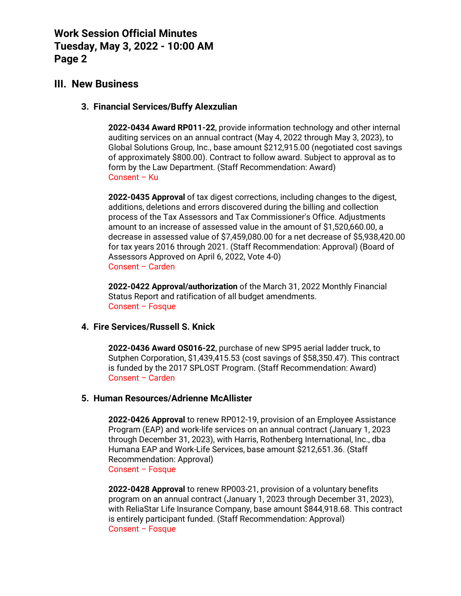**Work Session Official Minutes Tuesday, May 3, 2022 - 10:00 AM Page 2**

## **III. New Business**

#### **3. Financial Services/Buffy Alexzulian**

**2022-0434 Award RP011-22**, provide information technology and other internal auditing services on an annual contract (May 4, 2022 through May 3, 2023), to Global Solutions Group, Inc., base amount \$212,915.00 (negotiated cost savings of approximately \$800.00). Contract to follow award. Subject to approval as to form by the Law Department. (Staff Recommendation: Award) Consent – Ku

**2022-0435 Approval** of tax digest corrections, including changes to the digest, additions, deletions and errors discovered during the billing and collection process of the Tax Assessors and Tax Commissioner's Office. Adjustments amount to an increase of assessed value in the amount of \$1,520,660.00, a decrease in assessed value of \$7,459,080.00 for a net decrease of \$5,938,420.00 for tax years 2016 through 2021. (Staff Recommendation: Approval) (Board of Assessors Approved on April 6, 2022, Vote 4-0) Consent – Carden

**2022-0422 Approval/authorization** of the March 31, 2022 Monthly Financial Status Report and ratification of all budget amendments. Consent – Fosque

#### **4. Fire Services/Russell S. Knick**

**2022-0436 Award OS016-22**, purchase of new SP95 aerial ladder truck, to Sutphen Corporation, \$1,439,415.53 (cost savings of \$58,350.47). This contract is funded by the 2017 SPLOST Program. (Staff Recommendation: Award) Consent – Carden

#### **5. Human Resources/Adrienne McAllister**

**2022-0426 Approval** to renew RP012-19, provision of an Employee Assistance Program (EAP) and work-life services on an annual contract (January 1, 2023 through December 31, 2023), with Harris, Rothenberg International, Inc., dba Humana EAP and Work-Life Services, base amount \$212,651.36. (Staff Recommendation: Approval) Consent – Fosque

**2022-0428 Approval** to renew RP003-21, provision of a voluntary benefits program on an annual contract (January 1, 2023 through December 31, 2023), with ReliaStar Life Insurance Company, base amount \$844,918.68. This contract is entirely participant funded. (Staff Recommendation: Approval) Consent – Fosque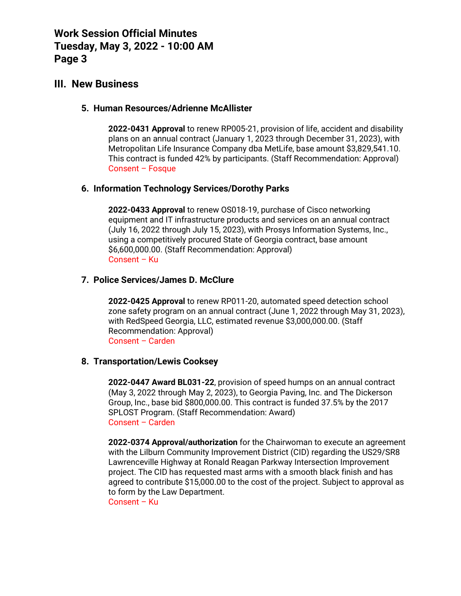**Work Session Official Minutes Tuesday, May 3, 2022 - 10:00 AM Page 3**

## **III. New Business**

### **5. Human Resources/Adrienne McAllister**

**2022-0431 Approval** to renew RP005-21, provision of life, accident and disability plans on an annual contract (January 1, 2023 through December 31, 2023), with Metropolitan Life Insurance Company dba MetLife, base amount \$3,829,541.10. This contract is funded 42% by participants. (Staff Recommendation: Approval) Consent – Fosque

### **6. Information Technology Services/Dorothy Parks**

**2022-0433 Approval** to renew OS018-19, purchase of Cisco networking equipment and IT infrastructure products and services on an annual contract (July 16, 2022 through July 15, 2023), with Prosys Information Systems, Inc., using a competitively procured State of Georgia contract, base amount \$6,600,000.00. (Staff Recommendation: Approval) Consent – Ku

### **7. Police Services/James D. McClure**

**2022-0425 Approval** to renew RP011-20, automated speed detection school zone safety program on an annual contract (June 1, 2022 through May 31, 2023), with RedSpeed Georgia, LLC, estimated revenue \$3,000,000.00. (Staff Recommendation: Approval) Consent – Carden

#### **8. Transportation/Lewis Cooksey**

**2022-0447 Award BL031-22**, provision of speed humps on an annual contract (May 3, 2022 through May 2, 2023), to Georgia Paving, Inc. and The Dickerson Group, Inc., base bid \$800,000.00. This contract is funded 37.5% by the 2017 SPLOST Program. (Staff Recommendation: Award) Consent – Carden

**2022-0374 Approval/authorization** for the Chairwoman to execute an agreement with the Lilburn Community Improvement District (CID) regarding the US29/SR8 Lawrenceville Highway at Ronald Reagan Parkway Intersection Improvement project. The CID has requested mast arms with a smooth black finish and has agreed to contribute \$15,000.00 to the cost of the project. Subject to approval as to form by the Law Department.

Consent – Ku